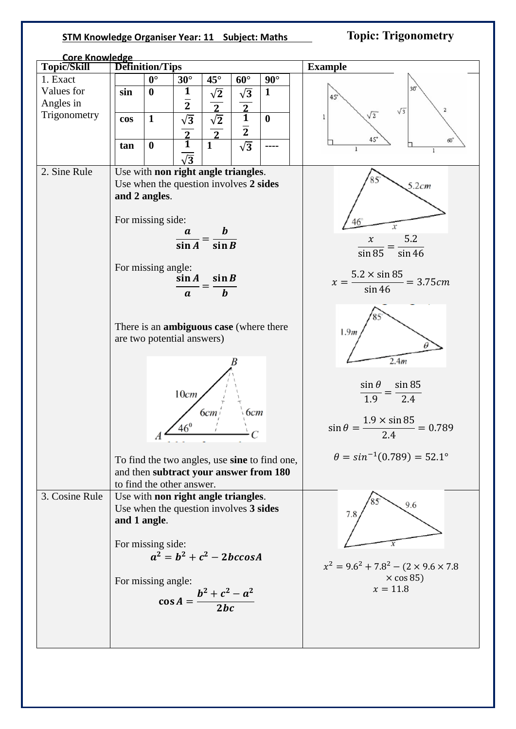# **STM Knowledge Organiser Year: 11 Subject: Maths**

**Topic: Trigonometry**

| Topic/Skill    | <u>Core Knowledge</u><br> c/Skill           Defi <u>nition/Tips</u> |                  |                       |                      |               |                                            | <b>Example</b>                                   |
|----------------|---------------------------------------------------------------------|------------------|-----------------------|----------------------|---------------|--------------------------------------------|--------------------------------------------------|
| 1. Exact       |                                                                     | $0^{\circ}$      | $30^\circ$            | $45^{\circ}$         | $60^\circ$    | $90^\circ$                                 | $30^{\circ}$                                     |
| Values for     | sin                                                                 | $\boldsymbol{0}$ | 1                     | $\sqrt{2}$           | $\sqrt{3}$    | $\mathbf{1}$                               | 45                                               |
| Angles in      |                                                                     |                  | $\overline{2}$        |                      |               |                                            | $\mathbf{2}$                                     |
| Trigonometry   | cos                                                                 | $\mathbf{1}$     | $\sqrt{3}$            | $\frac{2}{\sqrt{2}}$ | $\frac{2}{1}$ | $\boldsymbol{0}$                           | $\sqrt{3}$<br>$\sqrt{2}$<br>1                    |
|                |                                                                     |                  |                       |                      |               |                                            |                                                  |
|                |                                                                     |                  | $\frac{2}{1}$         | $\overline{2}$       |               |                                            | $45^\circ$<br>60°                                |
|                | tan                                                                 | $\boldsymbol{0}$ |                       | $\mathbf{1}$         | $\sqrt{3}$    |                                            | 1                                                |
|                |                                                                     |                  | $\overline{\sqrt{3}}$ |                      |               |                                            |                                                  |
| 2. Sine Rule   | Use with non right angle triangles.                                 |                  |                       |                      |               |                                            |                                                  |
|                | Use when the question involves 2 sides                              |                  |                       |                      |               |                                            | 5.2cm                                            |
|                | and 2 angles.                                                       |                  |                       |                      |               |                                            |                                                  |
|                |                                                                     |                  |                       |                      |               |                                            |                                                  |
|                | For missing side:                                                   |                  |                       |                      |               | 46                                         |                                                  |
|                | $\frac{a}{a} = \frac{b}{a}$                                         |                  |                       |                      |               |                                            | x                                                |
|                | $\overline{\sin A} = \overline{\sin B}$                             |                  |                       |                      |               | 5.2<br>$\boldsymbol{\chi}$                 |                                                  |
|                |                                                                     |                  |                       |                      |               | sin 85<br>sin 46                           |                                                  |
|                | For missing angle:                                                  |                  |                       |                      |               |                                            |                                                  |
|                | sin A<br>$\sin B$                                                   |                  |                       |                      |               |                                            | $5.2 \times \sin 85$<br>$= 3.75 cm$<br>$x = -$   |
|                | $\bm{b}$<br>$\boldsymbol{a}$                                        |                  |                       |                      |               | $\frac{1}{\sin 46}$                        |                                                  |
|                |                                                                     |                  |                       |                      |               |                                            |                                                  |
|                |                                                                     |                  |                       |                      |               |                                            |                                                  |
|                | There is an <b>ambiguous case</b> (where there                      |                  |                       |                      |               |                                            |                                                  |
|                | are two potential answers)                                          |                  |                       |                      |               | 1.9 <sub>m</sub>                           |                                                  |
|                |                                                                     |                  |                       |                      |               |                                            |                                                  |
|                |                                                                     |                  |                       |                      |               |                                            | 2.4m                                             |
|                |                                                                     |                  |                       |                      |               |                                            |                                                  |
|                |                                                                     |                  |                       |                      |               |                                            | sin 85<br>$\sin \theta$                          |
|                |                                                                     | 10cm             |                       |                      |               |                                            | $\frac{1}{1.9} = \frac{1}{2.4}$                  |
|                |                                                                     | 6cm<br>6ст       |                       |                      |               |                                            |                                                  |
|                |                                                                     |                  |                       |                      |               |                                            | $1.9 \times \sin 85$                             |
|                |                                                                     | $46^{\circ}$     |                       |                      |               |                                            | $= 0.789$<br>$\sin \theta =$<br>2.4              |
|                |                                                                     |                  |                       |                      |               |                                            |                                                  |
|                |                                                                     |                  |                       |                      |               | $\theta = \sin^{-1}(0.789) = 52.1^{\circ}$ |                                                  |
|                | To find the two angles, use sine to find one,                       |                  |                       |                      |               |                                            |                                                  |
|                | and then subtract your answer from 180                              |                  |                       |                      |               |                                            |                                                  |
|                | to find the other answer.                                           |                  |                       |                      |               |                                            |                                                  |
| 3. Cosine Rule | Use with non right angle triangles.                                 |                  |                       |                      |               | 9.6                                        |                                                  |
|                | Use when the question involves 3 sides<br>and 1 angle.              |                  |                       |                      |               | 7.8                                        |                                                  |
|                |                                                                     |                  |                       |                      |               |                                            |                                                  |
|                | For missing side:<br>$a^2 = b^2 + c^2 - 2bccosA$                    |                  |                       |                      |               |                                            |                                                  |
|                |                                                                     |                  |                       |                      |               |                                            |                                                  |
|                |                                                                     |                  |                       |                      |               |                                            |                                                  |
|                |                                                                     |                  |                       |                      |               |                                            | $x^2 = 9.6^2 + 7.8^2 - (2 \times 9.6 \times 7.8$ |
|                | For missing angle:<br>$\cos A = \frac{b^2 + c^2 - a^2}{2bc}$        |                  |                       |                      |               | $\times$ cos 85)<br>$x = 11.8$             |                                                  |
|                |                                                                     |                  |                       |                      |               |                                            |                                                  |
|                |                                                                     |                  |                       |                      |               |                                            |                                                  |
|                |                                                                     |                  |                       |                      |               |                                            |                                                  |
|                |                                                                     |                  |                       |                      |               |                                            |                                                  |
|                |                                                                     |                  |                       |                      |               |                                            |                                                  |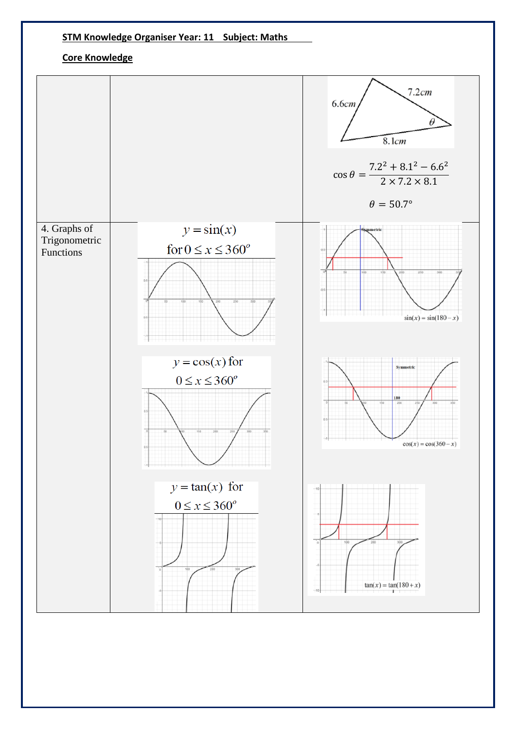## **STM Knowledge Organiser Year: 11 Subject: Maths**

#### **Core Knowledge**